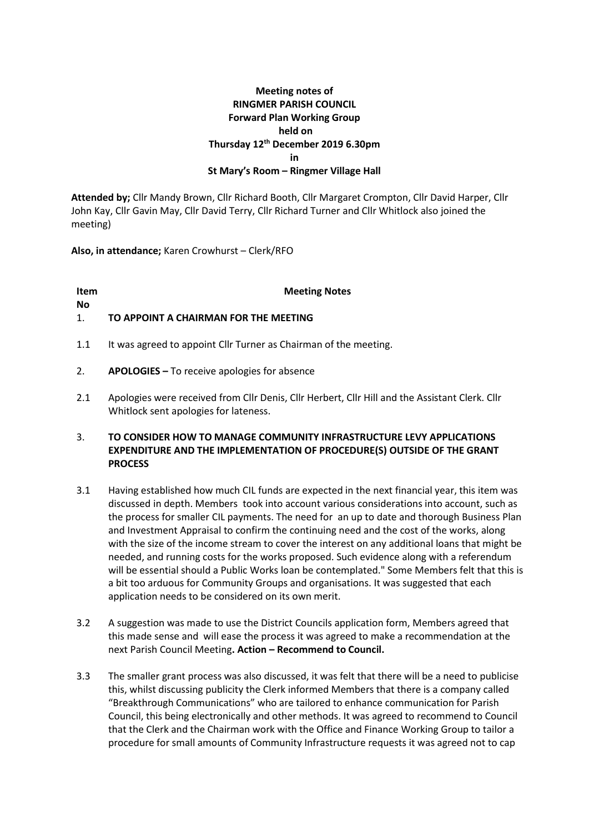# **Meeting notes of RINGMER PARISH COUNCIL Forward Plan Working Group held on Thursday 12th December 2019 6.30pm in St Mary's Room – Ringmer Village Hall**

**Attended by;** Cllr Mandy Brown, Cllr Richard Booth, Cllr Margaret Crompton, Cllr David Harper, Cllr John Kay, Cllr Gavin May, Cllr David Terry, Cllr Richard Turner and Cllr Whitlock also joined the meeting)

**Also, in attendance;** Karen Crowhurst – Clerk/RFO

**Item No**

**Meeting Notes**

### 1. **TO APPOINT A CHAIRMAN FOR THE MEETING**

- 1.1 It was agreed to appoint Cllr Turner as Chairman of the meeting.
- 2. **APOLOGIES –** To receive apologies for absence
- 2.1 Apologies were received from Cllr Denis, Cllr Herbert, Cllr Hill and the Assistant Clerk. Cllr Whitlock sent apologies for lateness.

## 3. **TO CONSIDER HOW TO MANAGE COMMUNITY INFRASTRUCTURE LEVY APPLICATIONS EXPENDITURE AND THE IMPLEMENTATION OF PROCEDURE(S) OUTSIDE OF THE GRANT PROCESS**

- 3.1 Having established how much CIL funds are expected in the next financial year, this item was discussed in depth. Members took into account various considerations into account, such as the process for smaller CIL payments. The need for an up to date and thorough Business Plan and Investment Appraisal to confirm the continuing need and the cost of the works, along with the size of the income stream to cover the interest on any additional loans that might be needed, and running costs for the works proposed. Such evidence along with a referendum will be essential should a Public Works loan be contemplated." Some Members felt that this is a bit too arduous for Community Groups and organisations. It was suggested that each application needs to be considered on its own merit.
- 3.2 A suggestion was made to use the District Councils application form, Members agreed that this made sense and will ease the process it was agreed to make a recommendation at the next Parish Council Meeting**. Action – Recommend to Council.**
- 3.3 The smaller grant process was also discussed, it was felt that there will be a need to publicise this, whilst discussing publicity the Clerk informed Members that there is a company called "Breakthrough Communications" who are tailored to enhance communication for Parish Council, this being electronically and other methods. It was agreed to recommend to Council that the Clerk and the Chairman work with the Office and Finance Working Group to tailor a procedure for small amounts of Community Infrastructure requests it was agreed not to cap